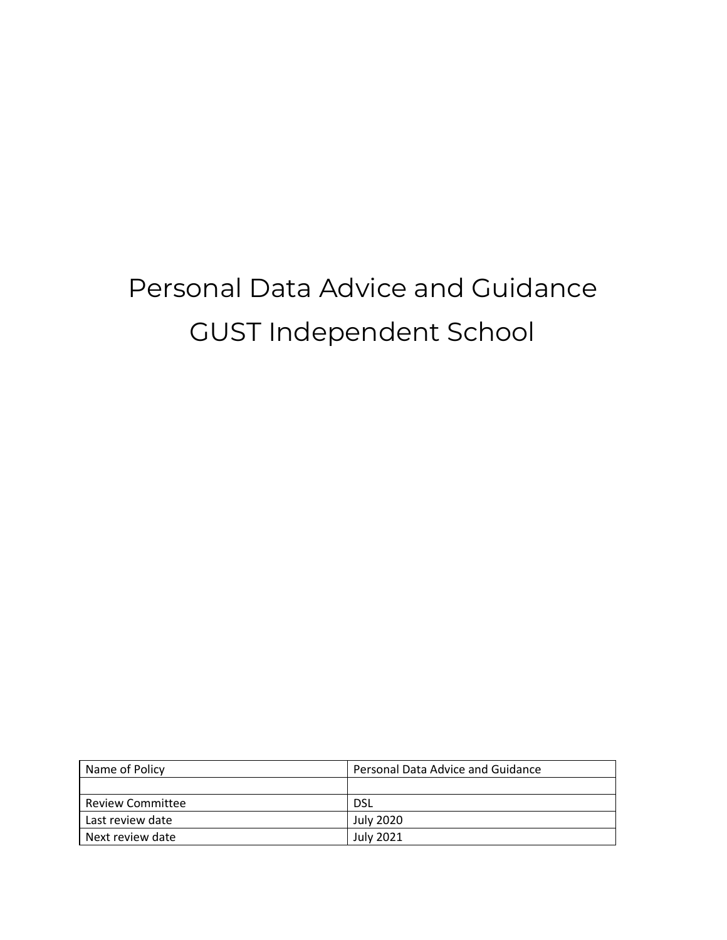# Personal Data Advice and Guidance GUST Independent School

| Name of Policy          | Personal Data Advice and Guidance |
|-------------------------|-----------------------------------|
|                         |                                   |
| <b>Review Committee</b> | <b>DSL</b>                        |
| Last review date        | <b>July 2020</b>                  |
| Next review date        | <b>July 2021</b>                  |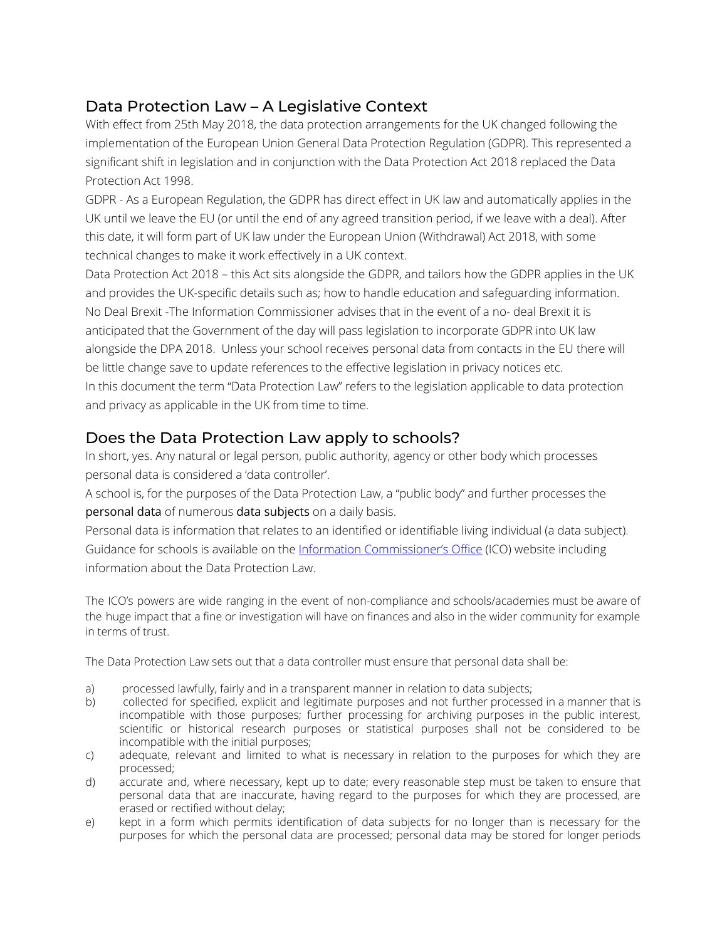# Data Protection Law – A Legislative Context

With effect from 25th May 2018, the data protection arrangements for the UK changed following the implementation of the European Union General Data Protection Regulation (GDPR). This represented a significant shift in legislation and in conjunction with the Data Protection Act 2018 replaced the Data Protection Act 1998.

GDPR - As a European Regulation, the GDPR has direct effect in UK law and automatically applies in the UK until we leave the EU (or until the end of any agreed transition period, if we leave with a deal). After this date, it will form part of UK law under the European Union (Withdrawal) Act 2018, with some technical changes to make it work effectively in a UK context.

Data Protection Act 2018 – this Act sits alongside the GDPR, and tailors how the GDPR applies in the UK and provides the UK-specific details such as; how to handle education and safeguarding information. No Deal Brexit -The Information Commissioner advises that in the event of a no- deal Brexit it is anticipated that the Government of the day will pass legislation to incorporate GDPR into UK law alongside the DPA 2018. Unless your school receives personal data from contacts in the EU there will be little change save to update references to the effective legislation in privacy notices etc. In this document the term "Data Protection Law" refers to the legislation applicable to data protection and privacy as applicable in the UK from time to time.

## Does the Data Protection Law apply to schools?

In short, yes. Any natural or legal person, public authority, agency or other body which processes personal data is considered a 'data controller'.

A school is, for the purposes of the Data Protection Law, a "public body" and further processes the personal data of numerous data subjects on a daily basis.

Personal data is information that relates to an identified or identifiable living individual (a data subject). Guidance for schools is available on the Information [Commissioner's](https://ico.org.uk/for-organisations/education/) Office (ICO) website including information about the Data Protection Law.

The ICO's powers are wide ranging in the event of non-compliance and schools/academies must be aware of the huge impact that a fine or investigation will have on finances and also in the wider community for example in terms of trust.

The Data Protection Law sets out that a data controller must ensure that personal data shall be:

- a) processed lawfully, fairly and in a transparent manner in relation to data subjects;
- b) collected for specified, explicit and legitimate purposes and not further processed in a manner that is incompatible with those purposes; further processing for archiving purposes in the public interest, scientific or historical research purposes or statistical purposes shall not be considered to be incompatible with the initial purposes;
- c) adequate, relevant and limited to what is necessary in relation to the purposes for which they are processed;
- d) accurate and, where necessary, kept up to date; every reasonable step must be taken to ensure that personal data that are inaccurate, having regard to the purposes for which they are processed, are erased or rectified without delay;
- e) kept in a form which permits identification of data subjects for no longer than is necessary for the purposes for which the personal data are processed; personal data may be stored for longer periods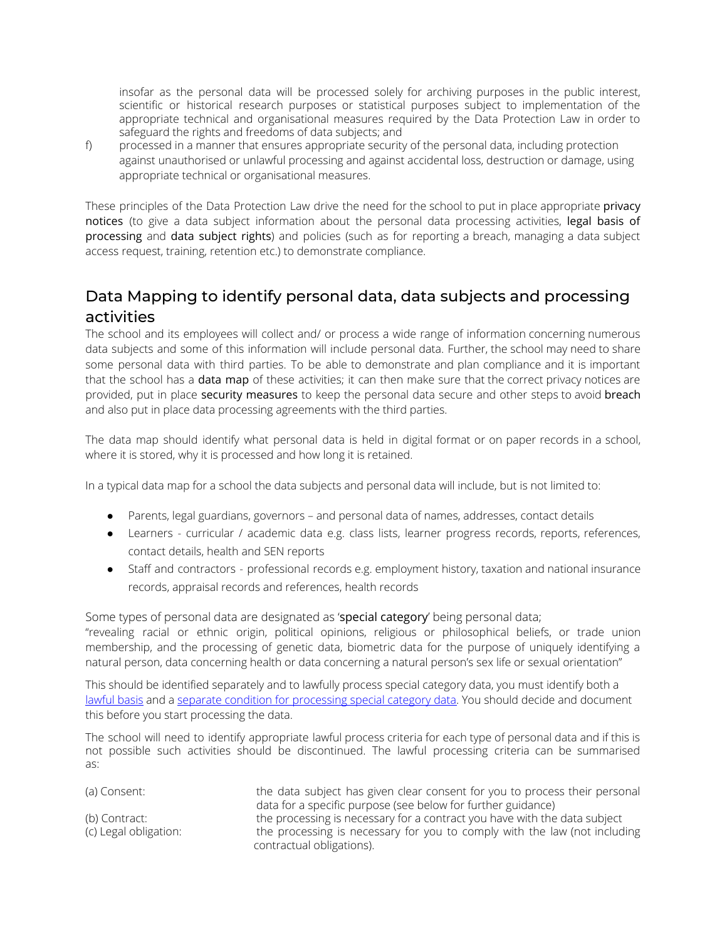insofar as the personal data will be processed solely for archiving purposes in the public interest, scientific or historical research purposes or statistical purposes subject to implementation of the appropriate technical and organisational measures required by the Data Protection Law in order to safeguard the rights and freedoms of data subjects; and

f) processed in a manner that ensures appropriate security of the personal data, including protection against unauthorised or unlawful processing and against accidental loss, destruction or damage, using appropriate technical or organisational measures.

These principles of the Data Protection Law drive the need for the school to put in place appropriate privacy notices (to give a data subject information about the personal data processing activities, legal basis of processing and data subject rights) and policies (such as for reporting a breach, managing a data subject access request, training, retention etc.) to demonstrate compliance.

# Data Mapping to identify personal data, data subjects and processing activities

The school and its employees will collect and/ or process a wide range of information concerning numerous data subjects and some of this information will include personal data. Further, the school may need to share some personal data with third parties. To be able to demonstrate and plan compliance and it is important that the school has a **data map** of these activities; it can then make sure that the correct privacy notices are provided, put in place security measures to keep the personal data secure and other steps to avoid breach and also put in place data processing agreements with the third parties.

The data map should identify what personal data is held in digital format or on paper records in a school, where it is stored, why it is processed and how long it is retained.

In a typical data map for a school the data subjects and personal data will include, but is not limited to:

- Parents, legal guardians, governors and personal data of names, addresses, contact details
- Learners curricular / academic data e.g. class lists, learner progress records, reports, references, contact details, health and SEN reports
- Staff and contractors professional records e.g. employment history, taxation and national insurance records, appraisal records and references, health records

Some types of personal data are designated as 'special category' being personal data; "revealing racial or ethnic origin, political opinions, religious or philosophical beliefs, or trade union membership, and the processing of genetic data, biometric data for the purpose of uniquely identifying a natural person, data concerning health or data concerning a natural person's sex life or sexual orientation"

This should be identified separately and to lawfully process special category data, you must identify both a [lawful](https://docs.google.com/document/d/1sBr4GCzg6c1BzWIRL9sKxUwhxbc11U39spWqnW7toMk/edit#bookmark=id.2pcmsun) basis and a separate condition for [processing](https://ico.org.uk/for-organisations/guide-to-the-general-data-protection-regulation-gdpr/lawful-basis-for-processing/special-category-data/) special category data. You should decide and document this before you start processing the data.

The school will need to identify appropriate lawful process criteria for each type of personal data and if this is not possible such activities should be discontinued. The lawful processing criteria can be summarised as:

| (a) Consent:          | the data subject has given clear consent for you to process their personal |
|-----------------------|----------------------------------------------------------------------------|
|                       | data for a specific purpose (see below for further guidance)               |
| (b) Contract:         | the processing is necessary for a contract you have with the data subject  |
| (c) Legal obligation: | the processing is necessary for you to comply with the law (not including  |
|                       | contractual obligations).                                                  |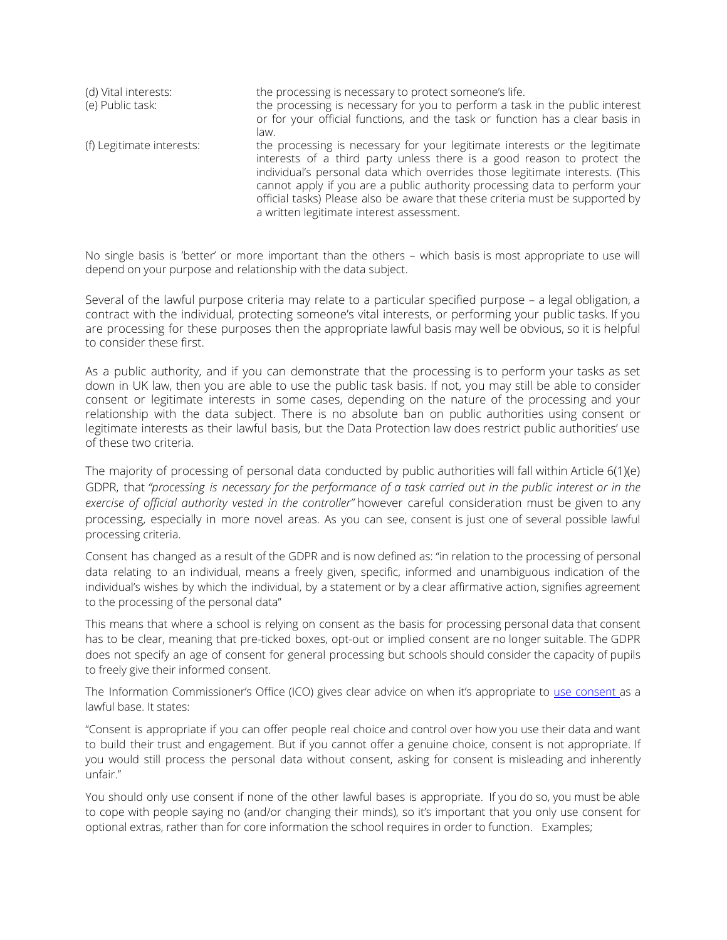| (d) Vital interests:      | the processing is necessary to protect someone's life.                                                                                                                                                                                                                                                                                                                                                                                             |
|---------------------------|----------------------------------------------------------------------------------------------------------------------------------------------------------------------------------------------------------------------------------------------------------------------------------------------------------------------------------------------------------------------------------------------------------------------------------------------------|
| (e) Public task:          | the processing is necessary for you to perform a task in the public interest<br>or for your official functions, and the task or function has a clear basis in                                                                                                                                                                                                                                                                                      |
|                           | law.                                                                                                                                                                                                                                                                                                                                                                                                                                               |
| (f) Legitimate interests: | the processing is necessary for your legitimate interests or the legitimate<br>interests of a third party unless there is a good reason to protect the<br>individual's personal data which overrides those legitimate interests. (This<br>cannot apply if you are a public authority processing data to perform your<br>official tasks) Please also be aware that these criteria must be supported by<br>a written legitimate interest assessment. |

No single basis is 'better' or more important than the others – which basis is most appropriate to use will depend on your purpose and relationship with the data subject.

Several of the lawful purpose criteria may relate to a particular specified purpose – a legal obligation, a contract with the individual, protecting someone's vital interests, or performing your public tasks. If you are processing for these purposes then the appropriate lawful basis may well be obvious, so it is helpful to consider these first.

As a public authority, and if you can demonstrate that the processing is to perform your tasks as set down in UK law, then you are able to use the public task basis. If not, you may still be able to consider consent or legitimate interests in some cases, depending on the nature of the processing and your relationship with the data subject. There is no absolute ban on public authorities using consent or legitimate interests as their lawful basis, but the Data Protection law does restrict public authorities' use of these two criteria.

The majority of processing of personal data conducted by public authorities will fall within Article 6(1)(e) GDPR, that "processing is necessary for the performance of a task carried out in the public interest or in the *exercise of official authority vested in the controller"* however careful consideration must be given to any processing, especially in more novel areas. As you can see, consent is just one of several possible lawful processing criteria.

Consent has changed as a result of the GDPR and is now defined as: "in relation to the processing of personal data relating to an individual, means a freely given, specific, informed and unambiguous indication of the individual's wishes by which the individual, by a statement or by a clear affirmative action, signifies agreement to the processing of the personal data"

This means that where a school is relying on consent as the basis for processing personal data that consent has to be clear, meaning that pre-ticked boxes, opt-out or implied consent are no longer suitable. The GDPR does not specify an age of consent for general processing but schools should consider the capacity of pupils to freely give their informed consent.

The Information Commissioner's Office (ICO) gives clear advice on when it's appropriate to use [consent](https://ico.org.uk/for-organisations/guide-to-the-general-data-protection-regulation-gdpr/lawful-basis-for-processing/consent/) as a lawful base. It states:

"Consent is appropriate if you can offer people real choice and control over how you use their data and want to build their trust and engagement. But if you cannot offer a genuine choice, consent is not appropriate. If you would still process the personal data without consent, asking for consent is misleading and inherently unfair."

You should only use consent if none of the other lawful bases is appropriate. If you do so, you must be able to cope with people saying no (and/or changing their minds), so it's important that you only use consent for optional extras, rather than for core information the school requires in order to function. Examples;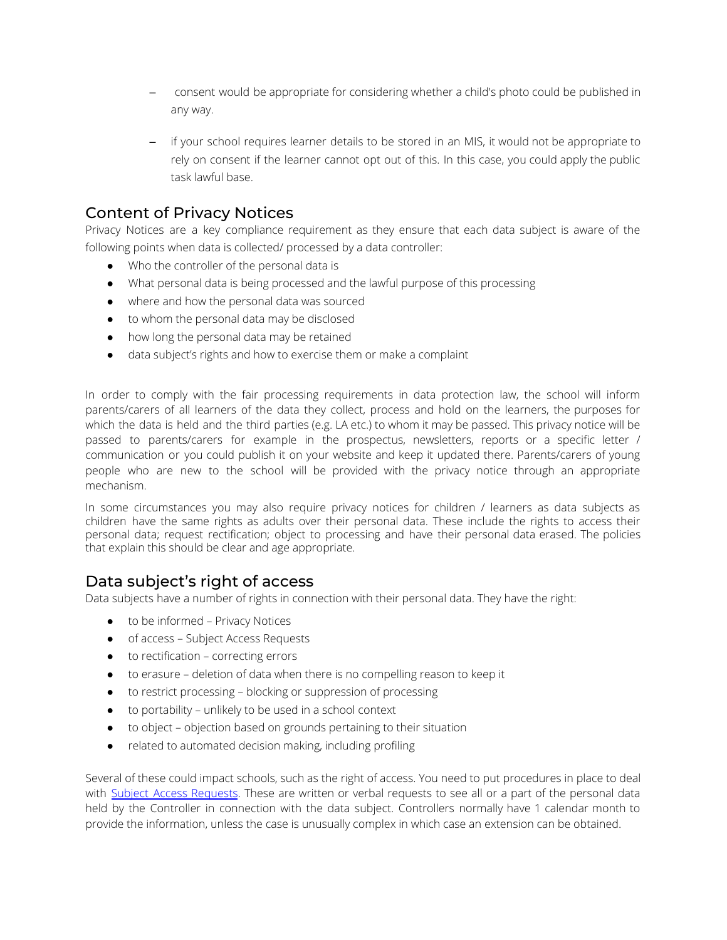- consent would be appropriate for considering whether a child's photo could be published in any way.
- if your school requires learner details to be stored in an MIS, it would not be appropriate to rely on consent if the learner cannot opt out of this. In this case, you could apply the public task lawful base.

## Content of Privacy Notices

Privacy Notices are a key compliance requirement as they ensure that each data subject is aware of the following points when data is collected/ processed by a data controller:

- Who the controller of the personal data is
- What personal data is being processed and the lawful purpose of this processing
- where and how the personal data was sourced
- to whom the personal data may be disclosed
- how long the personal data may be retained
- data subject's rights and how to exercise them or make a complaint

In order to comply with the fair processing requirements in data protection law, the school will inform parents/carers of all learners of the data they collect, process and hold on the learners, the purposes for which the data is held and the third parties (e.g. LA etc.) to whom it may be passed. This privacy notice will be passed to parents/carers for example in the prospectus, newsletters, reports or a specific letter / communication or you could publish it on your website and keep it updated there. Parents/carers of young people who are new to the school will be provided with the privacy notice through an appropriate mechanism.

In some circumstances you may also require privacy notices for children / learners as data subjects as children have the same rights as adults over their personal data. These include the rights to access their personal data; request rectification; object to processing and have their personal data erased. The policies that explain this should be clear and age appropriate.

## Data subject's right of access

Data subjects have a number of rights in connection with their personal data. They have the right:

- to be informed Privacy Notices
- of access Subject Access Requests
- to rectification correcting errors
- to erasure deletion of data when there is no compelling reason to keep it
- to restrict processing blocking or suppression of processing
- to portability unlikely to be used in a school context
- to object objection based on grounds pertaining to their situation
- related to automated decision making, including profiling

Several of these could impact schools, such as the right of access. You need to put procedures in place to deal with Subject Access [Requests](https://ico.org.uk/for-organisations/guide-to-the-general-data-protection-regulation-gdpr/individual-rights/right-of-access/). These are written or verbal requests to see all or a part of the personal data held by the Controller in connection with the data subject. Controllers normally have 1 calendar month to provide the information, unless the case is unusually complex in which case an extension can be obtained.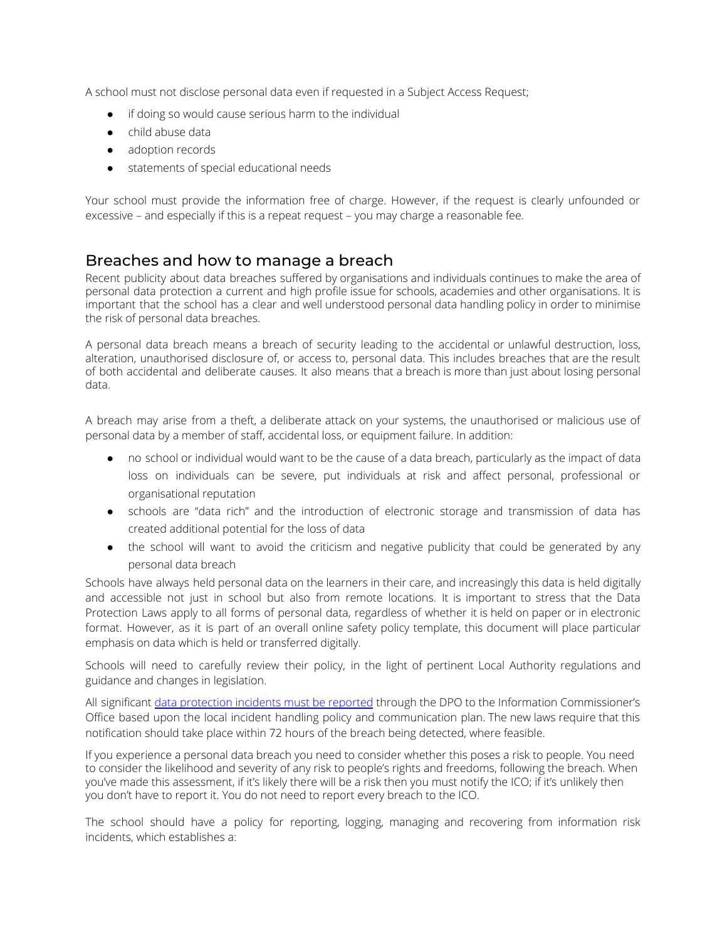A school must not disclose personal data even if requested in a Subject Access Request;

- if doing so would cause serious harm to the individual
- child abuse data
- adoption records
- statements of special educational needs

Your school must provide the information free of charge. However, if the request is clearly unfounded or excessive – and especially if this is a repeat request – you may charge a reasonable fee.

#### Breaches and how to manage a breach

Recent publicity about data breaches suffered by organisations and individuals continues to make the area of personal data protection a current and high profile issue for schools, academies and other organisations. It is important that the school has a clear and well understood personal data handling policy in order to minimise the risk of personal data breaches.

A personal data breach means a breach of security leading to the accidental or unlawful destruction, loss, alteration, unauthorised disclosure of, or access to, personal data. This includes breaches that are the result of both accidental and deliberate causes. It also means that a breach is more than just about losing personal data.

A breach may arise from a theft, a deliberate attack on your systems, the unauthorised or malicious use of personal data by a member of staff, accidental loss, or equipment failure. In addition:

- no school or individual would want to be the cause of a data breach, particularly as the impact of data loss on individuals can be severe, put individuals at risk and affect personal, professional or organisational reputation
- schools are "data rich" and the introduction of electronic storage and transmission of data has created additional potential for the loss of data
- the school will want to avoid the criticism and negative publicity that could be generated by any personal data breach

Schools have always held personal data on the learners in their care, and increasingly this data is held digitally and accessible not just in school but also from remote locations. It is important to stress that the Data Protection Laws apply to all forms of personal data, regardless of whether it is held on paper or in electronic format. However, as it is part of an overall online safety policy template, this document will place particular emphasis on data which is held or transferred digitally.

Schools will need to carefully review their policy, in the light of pertinent Local Authority regulations and guidance and changes in legislation.

All significant data [protection](https://ico.org.uk/for-organisations/guide-to-the-general-data-protection-regulation-gdpr/personal-data-breaches/) incidents must be reported through the DPO to the Information Commissioner's Office based upon the local incident handling policy and communication plan. The new laws require that this notification should take place within 72 hours of the breach being detected, where feasible.

If you experience a personal data breach you need to consider whether this poses a risk to people. You need to consider the likelihood and severity of any risk to people's rights and freedoms, following the breach. When you've made this assessment, if it's likely there will be a risk then you must notify the ICO; if it's unlikely then you don't have to report it. You do not need to report every breach to the ICO.

The school should have a policy for reporting, logging, managing and recovering from information risk incidents, which establishes a: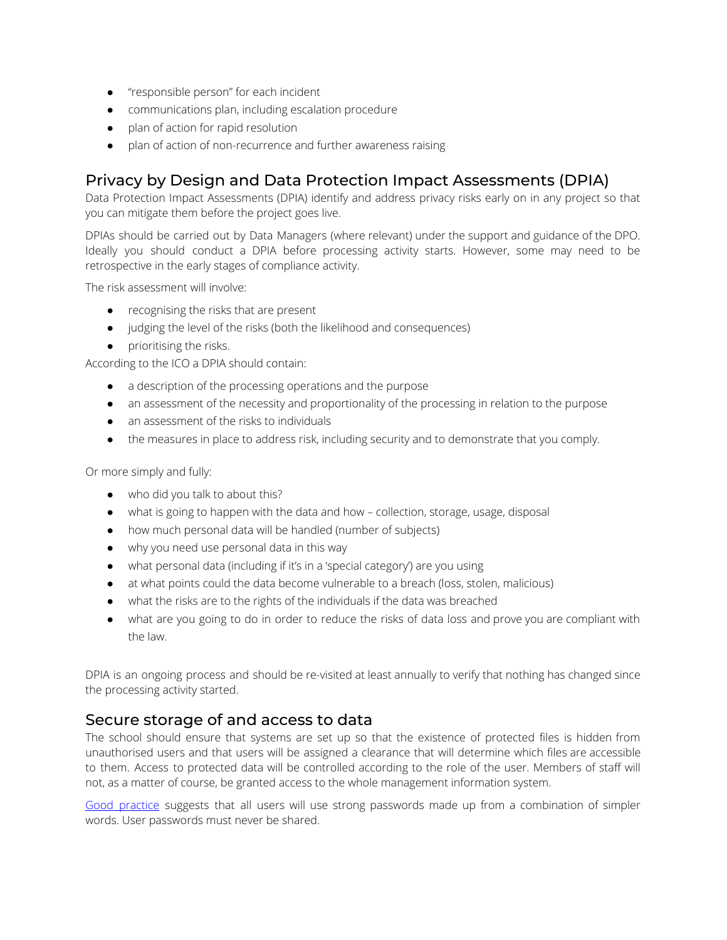- "responsible person" for each incident
- communications plan, including escalation procedure
- plan of action for rapid resolution
- plan of action of non-recurrence and further awareness raising

#### Privacy by Design and Data Protection Impact Assessments (DPIA)

Data Protection Impact Assessments (DPIA) identify and address privacy risks early on in any project so that you can mitigate them before the project goes live.

DPIAs should be carried out by Data Managers (where relevant) under the support and guidance of the DPO. Ideally you should conduct a DPIA before processing activity starts. However, some may need to be retrospective in the early stages of compliance activity.

The risk assessment will involve:

- recognising the risks that are present
- judging the level of the risks (both the likelihood and consequences)
- prioritising the risks.

According to the ICO a DPIA should contain:

- a description of the processing operations and the purpose
- an assessment of the necessity and proportionality of the processing in relation to the purpose
- an assessment of the risks to individuals
- the measures in place to address risk, including security and to demonstrate that you comply.

Or more simply and fully:

- who did you talk to about this?
- what is going to happen with the data and how collection, storage, usage, disposal
- how much personal data will be handled (number of subjects)
- why you need use personal data in this way
- what personal data (including if it's in a 'special category') are you using
- at what points could the data become vulnerable to a breach (loss, stolen, malicious)
- what the risks are to the rights of the individuals if the data was breached
- what are you going to do in order to reduce the risks of data loss and prove you are compliant with the law.

DPIA is an ongoing process and should be re-visited at least annually to verify that nothing has changed since the processing activity started.

#### Secure storage of and access to data

The school should ensure that systems are set up so that the existence of protected files is hidden from unauthorised users and that users will be assigned a clearance that will determine which files are accessible to them. Access to protected data will be controlled according to the role of the user. Members of staff will not, as a matter of course, be granted access to the whole management information system.

Good [practice](https://www.ncsc.gov.uk/guidance/password-guidance-simplifying-your-approach) suggests that all users will use strong passwords made up from a combination of simpler words. User passwords must never be shared.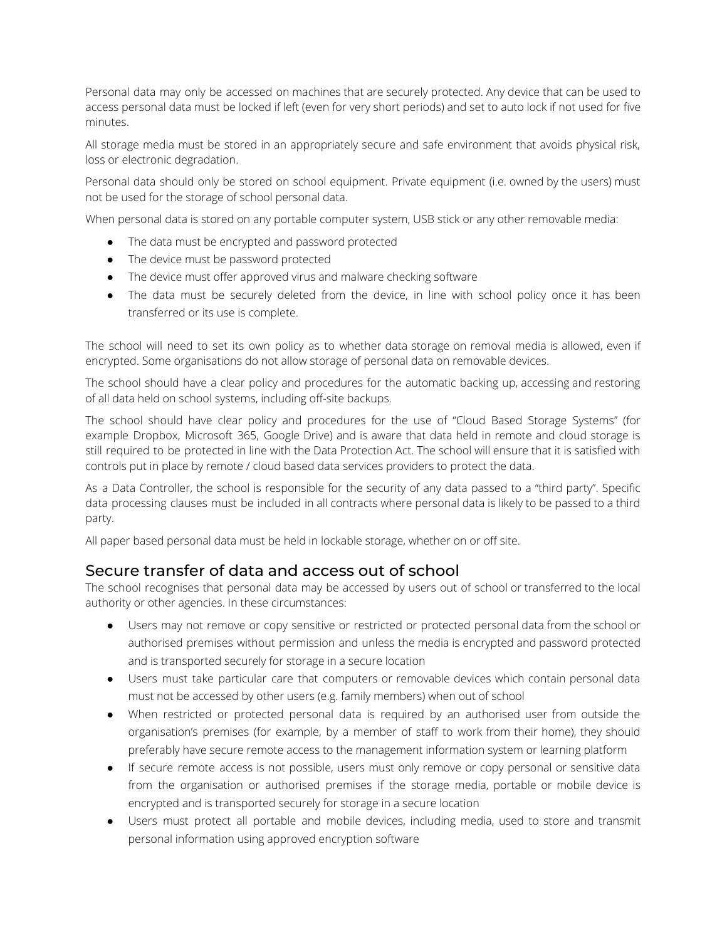Personal data may only be accessed on machines that are securely protected. Any device that can be used to access personal data must be locked if left (even for very short periods) and set to auto lock if not used for five minutes.

All storage media must be stored in an appropriately secure and safe environment that avoids physical risk, loss or electronic degradation.

Personal data should only be stored on school equipment. Private equipment (i.e. owned by the users) must not be used for the storage of school personal data.

When personal data is stored on any portable computer system, USB stick or any other removable media:

- The data must be encrypted and password protected
- The device must be password protected
- The device must offer approved virus and malware checking software
- The data must be securely deleted from the device, in line with school policy once it has been transferred or its use is complete.

The school will need to set its own policy as to whether data storage on removal media is allowed, even if encrypted. Some organisations do not allow storage of personal data on removable devices.

The school should have a clear policy and procedures for the automatic backing up, accessing and restoring of all data held on school systems, including off-site backups.

The school should have clear policy and procedures for the use of "Cloud Based Storage Systems" (for example Dropbox, Microsoft 365, Google Drive) and is aware that data held in remote and cloud storage is still required to be protected in line with the Data Protection Act. The school will ensure that it is satisfied with controls put in place by remote / cloud based data services providers to protect the data.

As a Data Controller, the school is responsible for the security of any data passed to a "third party". Specific data processing clauses must be included in all contracts where personal data is likely to be passed to a third party.

All paper based personal data must be held in lockable storage, whether on or off site.

#### Secure transfer of data and access out of school

The school recognises that personal data may be accessed by users out of school or transferred to the local authority or other agencies. In these circumstances:

- Users may not remove or copy sensitive or restricted or protected personal data from the school or authorised premises without permission and unless the media is encrypted and password protected and is transported securely for storage in a secure location
- Users must take particular care that computers or removable devices which contain personal data must not be accessed by other users (e.g. family members) when out of school
- When restricted or protected personal data is required by an authorised user from outside the organisation's premises (for example, by a member of staff to work from their home), they should preferably have secure remote access to the management information system or learning platform
- If secure remote access is not possible, users must only remove or copy personal or sensitive data from the organisation or authorised premises if the storage media, portable or mobile device is encrypted and is transported securely for storage in a secure location
- Users must protect all portable and mobile devices, including media, used to store and transmit personal information using approved encryption software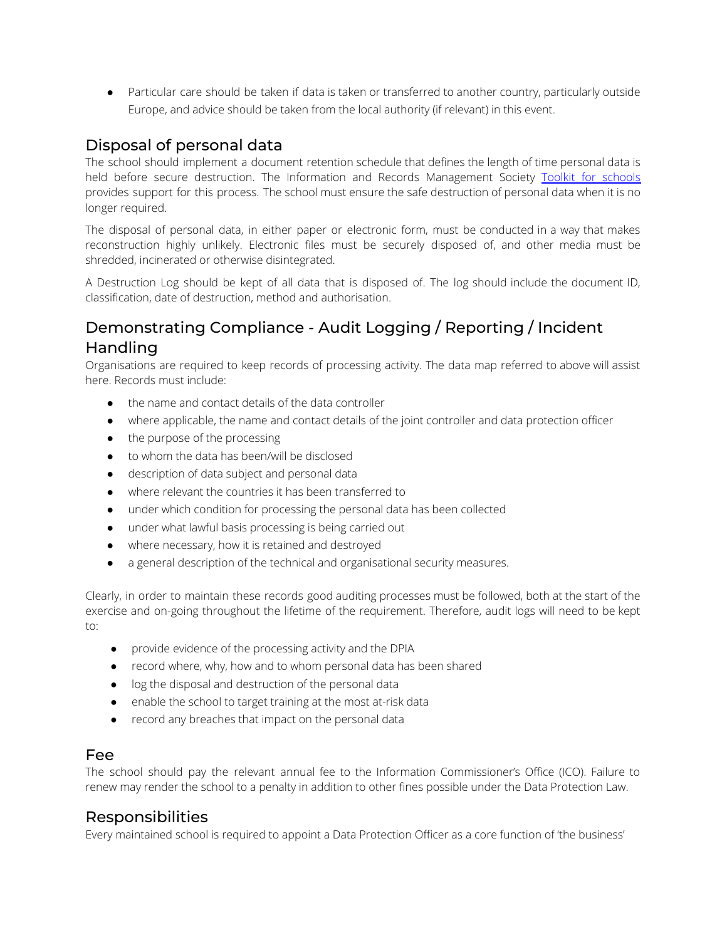● Particular care should be taken if data is taken or transferred to another country, particularly outside Europe, and advice should be taken from the local authority (if relevant) in this event.

## Disposal of personal data

The school should implement a document retention schedule that defines the length of time personal data is held before secure destruction. The Information and Records Management Society Toolkit for [schools](http://irms.org.uk/page/SchoolsToolkit) provides support for this process. The school must ensure the safe destruction of personal data when it is no longer required.

The disposal of personal data, in either paper or electronic form, must be conducted in a way that makes reconstruction highly unlikely. Electronic files must be securely disposed of, and other media must be shredded, incinerated or otherwise disintegrated.

A Destruction Log should be kept of all data that is disposed of. The log should include the document ID, classification, date of destruction, method and authorisation.

# Demonstrating Compliance - Audit Logging / Reporting / Incident Handling

Organisations are required to keep records of processing activity. The data map referred to above will assist here. Records must include:

- the name and contact details of the data controller
- where applicable, the name and contact details of the joint controller and data protection officer
- the purpose of the processing
- to whom the data has been/will be disclosed
- description of data subject and personal data
- where relevant the countries it has been transferred to
- under which condition for processing the personal data has been collected
- under what lawful basis processing is being carried out
- where necessary, how it is retained and destroyed
- a general description of the technical and organisational security measures.

Clearly, in order to maintain these records good auditing processes must be followed, both at the start of the exercise and on-going throughout the lifetime of the requirement. Therefore, audit logs will need to be kept to:

- provide evidence of the processing activity and the DPIA
- record where, why, how and to whom personal data has been shared
- log the disposal and destruction of the personal data
- enable the school to target training at the most at-risk data
- record any breaches that impact on the personal data

#### Fee

The school should pay the relevant annual fee to the Information Commissioner's Office (ICO). Failure to renew may render the school to a penalty in addition to other fines possible under the Data Protection Law.

#### Responsibilities

Every maintained school is required to appoint a Data Protection Officer as a core function of 'the business'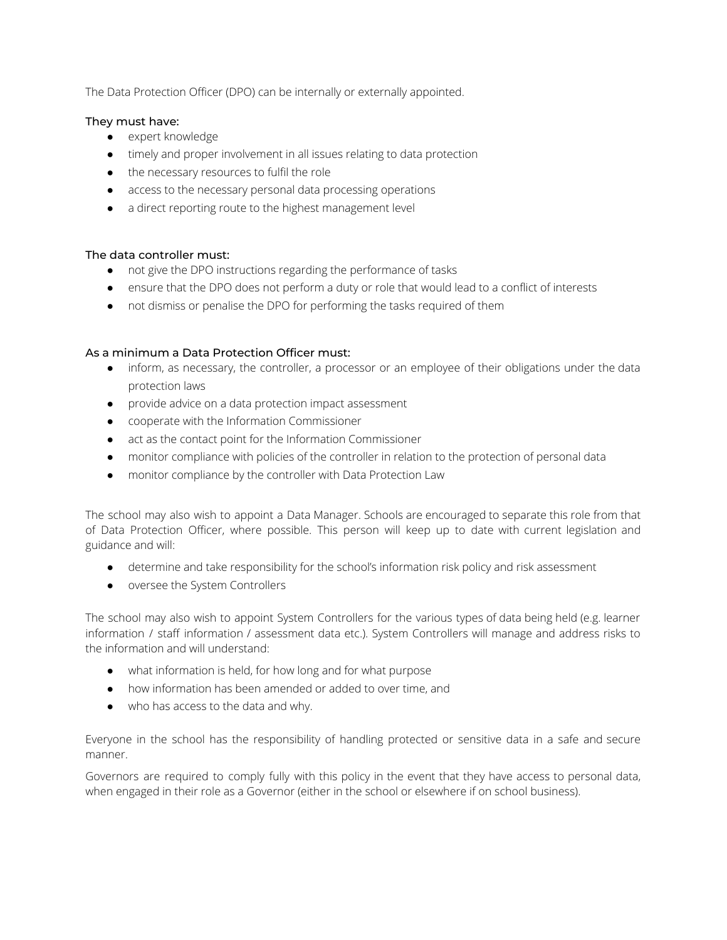The Data Protection Officer (DPO) can be internally or externally appointed.

#### They must have:

- expert knowledge
- timely and proper involvement in all issues relating to data protection
- the necessary resources to fulfil the role
- access to the necessary personal data processing operations
- a direct reporting route to the highest management level

#### The data controller must:

- not give the DPO instructions regarding the performance of tasks
- ensure that the DPO does not perform a duty or role that would lead to a conflict of interests
- not dismiss or penalise the DPO for performing the tasks required of them

#### As a minimum a Data Protection Officer must:

- inform, as necessary, the controller, a processor or an employee of their obligations under the data protection laws
- provide advice on a data protection impact assessment
- cooperate with the Information Commissioner
- act as the contact point for the Information Commissioner
- monitor compliance with policies of the controller in relation to the protection of personal data
- monitor compliance by the controller with Data Protection Law

The school may also wish to appoint a Data Manager. Schools are encouraged to separate this role from that of Data Protection Officer, where possible. This person will keep up to date with current legislation and guidance and will:

- determine and take responsibility for the school's information risk policy and risk assessment
- oversee the System Controllers

The school may also wish to appoint System Controllers for the various types of data being held (e.g. learner information / staff information / assessment data etc.). System Controllers will manage and address risks to the information and will understand:

- what information is held, for how long and for what purpose
- how information has been amended or added to over time, and
- who has access to the data and why.

Everyone in the school has the responsibility of handling protected or sensitive data in a safe and secure manner.

Governors are required to comply fully with this policy in the event that they have access to personal data, when engaged in their role as a Governor (either in the school or elsewhere if on school business).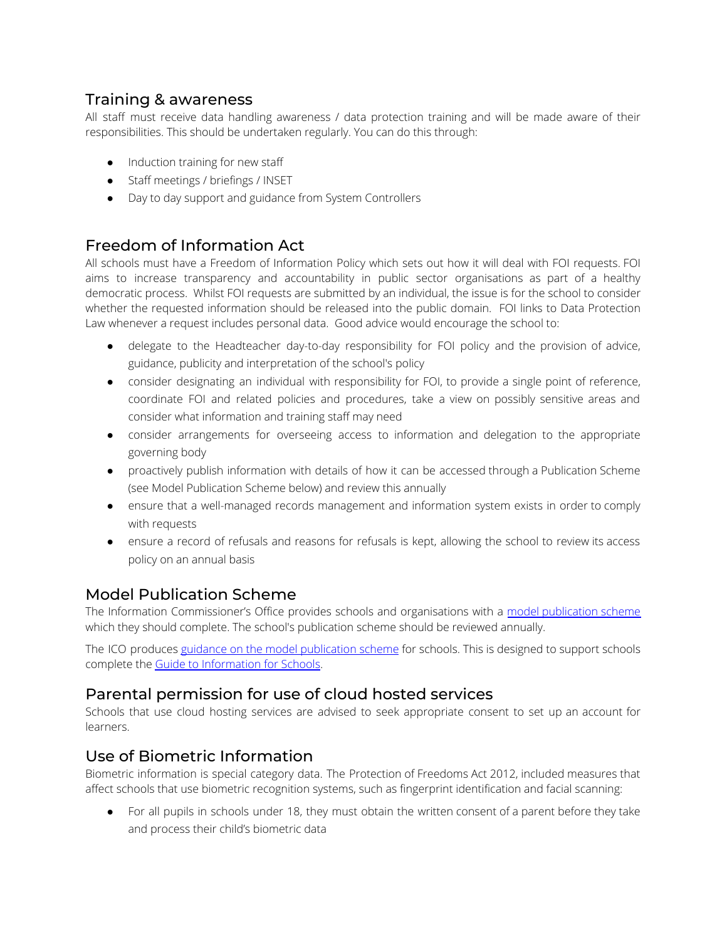## Training & awareness

All staff must receive data handling awareness / data protection training and will be made aware of their responsibilities. This should be undertaken regularly. You can do this through:

- Induction training for new staff
- Staff meetings / briefings / INSET
- Day to day support and guidance from System Controllers

## Freedom of Information Act

All schools must have a Freedom of Information Policy which sets out how it will deal with FOI requests. FOI aims to increase transparency and accountability in public sector organisations as part of a healthy democratic process. Whilst FOI requests are submitted by an individual, the issue is for the school to consider whether the requested information should be released into the public domain. FOI links to Data Protection Law whenever a request includes personal data. Good advice would encourage the school to:

- delegate to the Headteacher day-to-day responsibility for FOI policy and the provision of advice, guidance, publicity and interpretation of the school's policy
- consider designating an individual with responsibility for FOI, to provide a single point of reference, coordinate FOI and related policies and procedures, take a view on possibly sensitive areas and consider what information and training staff may need
- consider arrangements for overseeing access to information and delegation to the appropriate governing body
- proactively publish information with details of how it can be accessed through a Publication Scheme (see Model Publication Scheme below) and review this annually
- ensure that a well-managed records management and information system exists in order to comply with requests
- ensure a record of refusals and reasons for refusals is kept, allowing the school to review its access policy on an annual basis

## Model Publication Scheme

The Information Commissioner's Office provides schools and organisations with a model [publication](https://ico.org.uk/for-organisations/guide-to-freedom-of-information/publication-scheme/) scheme which they should complete. The school's publication scheme should be reviewed annually.

The ICO produces guidance on the model [publication](https://ico.org.uk/media/for-organisations/documents/1242/how-to-complete-template-guide-to-info-for-schools.pdf) scheme for schools. This is designed to support schools complete the Guide to [Information](https://ico.org.uk/media/for-organisations/documents/1278/schools_england_mps_final.doc) for Schools.

## Parental permission for use of cloud hosted services

Schools that use cloud hosting services are advised to seek appropriate consent to set up an account for learners.

## Use of Biometric Information

Biometric information is special category data. The Protection of Freedoms Act 2012, included measures that affect schools that use biometric recognition systems, such as fingerprint identification and facial scanning:

• For all pupils in schools under 18, they must obtain the written consent of a parent before they take and process their child's biometric data